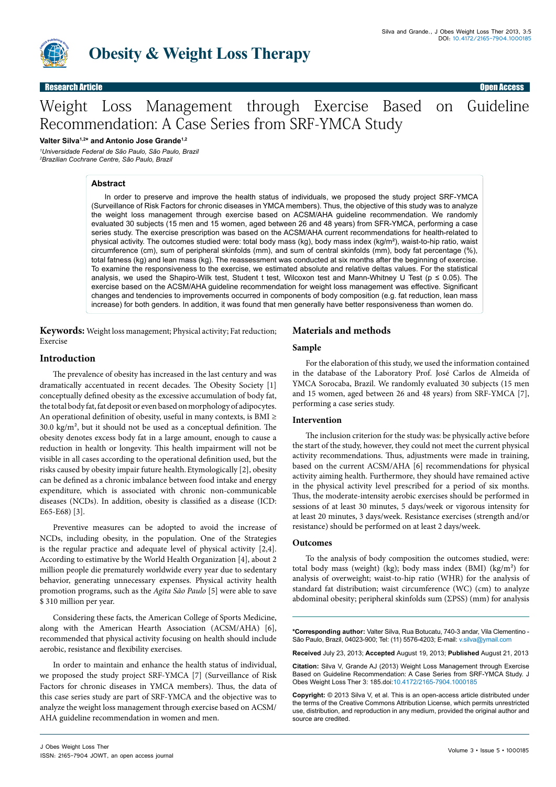

# Weight Loss Management through Exercise Based on Guideline Recommendation: A Case Series from SRF-YMCA Study

**Valter Silva1,2\* and Antonio Jose Grande1,2**

*1 Universidade Federal de São Paulo, São Paulo, Brazil 2 Brazilian Cochrane Centre, São Paulo, Brazil*

## **Abstract**

In order to preserve and improve the health status of individuals, we proposed the study project SRF-YMCA (Surveillance of Risk Factors for chronic diseases in YMCA members). Thus, the objective of this study was to analyze the weight loss management through exercise based on ACSM/AHA guideline recommendation. We randomly evaluated 30 subjects (15 men and 15 women, aged between 26 and 48 years) from SFR-YMCA, performing a case series study. The exercise prescription was based on the ACSM/AHA current recommendations for health-related to physical activity. The outcomes studied were: total body mass (kg), body mass index (kg/m²), waist-to-hip ratio, waist circumference (cm), sum of peripheral skinfolds (mm), and sum of central skinfolds (mm), body fat percentage (%), total fatness (kg) and lean mass (kg). The reassessment was conducted at six months after the beginning of exercise. To examine the responsiveness to the exercise, we estimated absolute and relative deltas values. For the statistical analysis, we used the Shapiro-Wilk test, Student t test, Wilcoxon test and Mann-Whitney U Test ( $p \le 0.05$ ). The exercise based on the ACSM/AHA guideline recommendation for weight loss management was effective. Significant changes and tendencies to improvements occurred in components of body composition (e.g. fat reduction, lean mass increase) for both genders. In addition, it was found that men generally have better responsiveness than women do.

**Keywords:** Weight loss management; Physical activity; Fat reduction; Exercise

## **Introduction**

The prevalence of obesity has increased in the last century and was dramatically accentuated in recent decades. The Obesity Society [1] conceptually defined obesity as the excessive accumulation of body fat, the total body fat, fat deposit or even based on morphology of adipocytes. An operational definition of obesity, useful in many contexts, is  $BMI \geq$ 30.0 kg/m², but it should not be used as a conceptual definition. The obesity denotes excess body fat in a large amount, enough to cause a reduction in health or longevity. This health impairment will not be visible in all cases according to the operational definition used, but the risks caused by obesity impair future health.Etymologically [2], obesity can be defined as a chronic imbalance between food intake and energy expenditure, which is associated with chronic non-communicable diseases (NCDs). In addition, obesity is classified as a disease (ICD: E65-E68) [3].

Preventive measures can be adopted to avoid the increase of NCDs, including obesity, in the population. One of the Strategies is the regular practice and adequate level of physical activity [2,4]. According to estimative by the World Health Organization [4], about 2 million people die prematurely worldwide every year due to sedentary behavior, generating unnecessary expenses. Physical activity health promotion programs, such as the *Agita São Paulo* [5] were able to save \$ 310 million per year.

Considering these facts, the American College of Sports Medicine, along with the American Hearth Association (ACSM/AHA) [6], recommended that physical activity focusing on health should include aerobic, resistance and flexibility exercises.

In order to maintain and enhance the health status of individual, we proposed the study project SRF-YMCA [7] (Surveillance of Risk Factors for chronic diseases in YMCA members). Thus, the data of this case series study are part of SRF-YMCA and the objective was to analyze the weight loss management through exercise based on ACSM/ AHA guideline recommendation in women and men.

# **Materials and methods**

#### **Sample**

For the elaboration of this study, we used the information contained in the database of the Laboratory Prof. José Carlos de Almeida of YMCA Sorocaba, Brazil. We randomly evaluated 30 subjects (15 men and 15 women, aged between 26 and 48 years) from SRF-YMCA [7], performing a case series study.

## **Intervention**

The inclusion criterion for the study was: be physically active before the start of the study, however, they could not meet the current physical activity recommendations. Thus, adjustments were made in training, based on the current ACSM/AHA [6] recommendations for physical activity aiming health. Furthermore, they should have remained active in the physical activity level prescribed for a period of six months. Thus, the moderate-intensity aerobic exercises should be performed in sessions of at least 30 minutes, 5 days/week or vigorous intensity for at least 20 minutes, 3 days/week. Resistance exercises (strength and/or resistance) should be performed on at least 2 days/week.

#### **Outcomes**

To the analysis of body composition the outcomes studied, were: total body mass (weight) (kg); body mass index (BMI) (kg/m²) for analysis of overweight; waist-to-hip ratio (WHR) for the analysis of standard fat distribution; waist circumference (WC) (cm) to analyze abdominal obesity; peripheral skinfolds sum (ΣPSS) (mm) for analysis

**\*Corresponding author:** Valter Silva, Rua Botucatu, 740-3 andar, Vila Clementino - São Paulo, Brazil, 04023-900; Tel: (11) 5576-4203; E-mail: v.silva@ymail.com

**Received** July 23, 2013; **Accepted** August 19, 2013; **Published** August 21, 2013

**Citation:** Silva V, Grande AJ (2013) Weight Loss Management through Exercise Based on Guideline Recommendation: A Case Series from SRF-YMCA Study. J Obes Weight Loss Ther 3: 185.doi:10.4172/2165-7904.1000185

**Copyright:** © 2013 Silva V, et al. This is an open-access article distributed under the terms of the Creative Commons Attribution License, which permits unrestricted use, distribution, and reproduction in any medium, provided the original author and source are credited.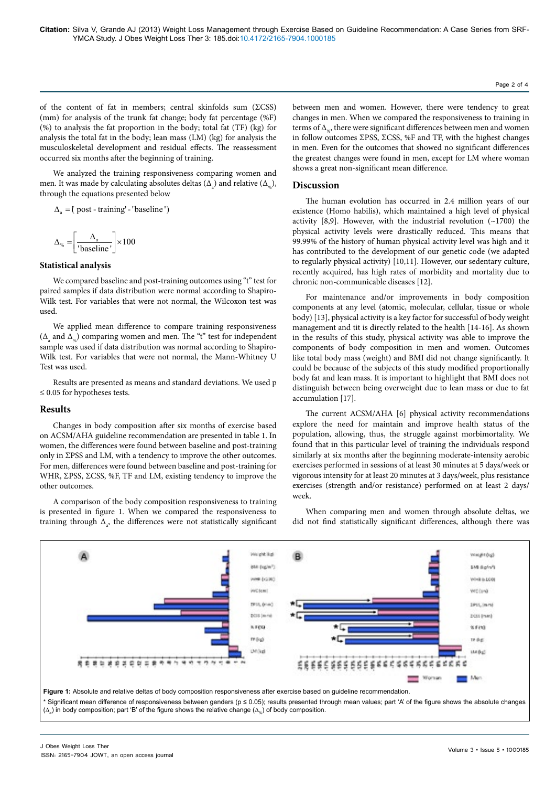of the content of fat in members; central skinfolds sum (ΣCSS) (mm) for analysis of the trunk fat change; body fat percentage (%F) (%) to analysis the fat proportion in the body; total fat (TF) (kg) for analysis the total fat in the body; lean mass (LM) (kg) for analysis the musculoskeletal development and residual effects. The reassessment occurred six months after the beginning of training.

We analyzed the training responsiveness comparing women and men. It was made by calculating absolutes deltas ( $\Delta_{\scriptscriptstyle\rm a}$ ) and relative ( $\Delta_{\scriptscriptstyle\rm \gamma_{\rm s}}$ ), through the equations presented below

$$
\Delta_{\rm a}
$$
 = ( post - training' - 'baseline')

$$
\Delta_{\%} = \left[ \frac{\Delta_a}{\text{'baseline'}} \right] \times 100
$$

#### **Statistical analysis**

We compared baseline and post-training outcomes using "t" test for paired samples if data distribution were normal according to Shapiro-Wilk test. For variables that were not normal, the Wilcoxon test was used.

We applied mean difference to compare training responsiveness  $(\Delta_{\rm a} \text{ and } \Delta_{\rm w})$  comparing women and men. The "t" test for independent sample was used if data distribution was normal according to Shapiro-Wilk test. For variables that were not normal, the Mann-Whitney U Test was used.

Results are presented as means and standard deviations. We used p  $\leq$  0.05 for hypotheses tests.

#### **Results**

Changes in body composition after six months of exercise based on ACSM/AHA guideline recommendation are presented in table 1. In women, the differences were found between baseline and post-training only in ΣPSS and LM, with a tendency to improve the other outcomes. For men, differences were found between baseline and post-training for WHR, ΣPSS, ΣCSS, %F, TF and LM, existing tendency to improve the other outcomes.

A comparison of the body composition responsiveness to training is presented in figure 1. When we compared the responsiveness to training through  $\Delta$ <sub>a</sub>, the differences were not statistically significant between men and women. However, there were tendency to great changes in men. When we compared the responsiveness to training in terms of  $\Delta_{\omega}$ , there were significant differences between men and women in follow outcomes ΣPSS, ΣCSS, %F and TF, with the highest changes in men. Even for the outcomes that showed no significant differences the greatest changes were found in men, except for LM where woman shows a great non-significant mean difference.

#### **Discussion**

The human evolution has occurred in 2.4 million years of our existence (Homo habilis), which maintained a high level of physical activity [8,9]. However, with the industrial revolution  $(-1700)$  the physical activity levels were drastically reduced. This means that 99.99% of the history of human physical activity level was high and it has contributed to the development of our genetic code (we adapted to regularly physical activity) [10,11]. However, our sedentary culture, recently acquired, has high rates of morbidity and mortality due to chronic non-communicable diseases [12].

For maintenance and/or improvements in body composition components at any level (atomic, molecular, cellular, tissue or whole body) [13], physical activity is a key factor for successful of body weight management and tit is directly related to the health [14-16]. As shown in the results of this study, physical activity was able to improve the components of body composition in men and women. Outcomes like total body mass (weight) and BMI did not change significantly. It could be because of the subjects of this study modified proportionally body fat and lean mass. It is important to highlight that BMI does not distinguish between being overweight due to lean mass or due to fat accumulation [17].

The current ACSM/AHA [6] physical activity recommendations explore the need for maintain and improve health status of the population, allowing, thus, the struggle against morbimortality. We found that in this particular level of training the individuals respond similarly at six months after the beginning moderate-intensity aerobic exercises performed in sessions of at least 30 minutes at 5 days/week or vigorous intensity for at least 20 minutes at 3 days/week, plus resistance exercises (strength and/or resistance) performed on at least 2 days/ week.

When comparing men and women through absolute deltas, we did not find statistically significant differences, although there was



\* Significant mean difference of responsiveness between genders (p ≤ 0.05); results presented through mean values; part 'A' of the figure shows the absolute changes  $(\Delta_{\rm a})$  in body composition; part 'B' of the figure shows the relative change  $(\Delta_{\rm s_0})$  of body composition.

Page 2 of 4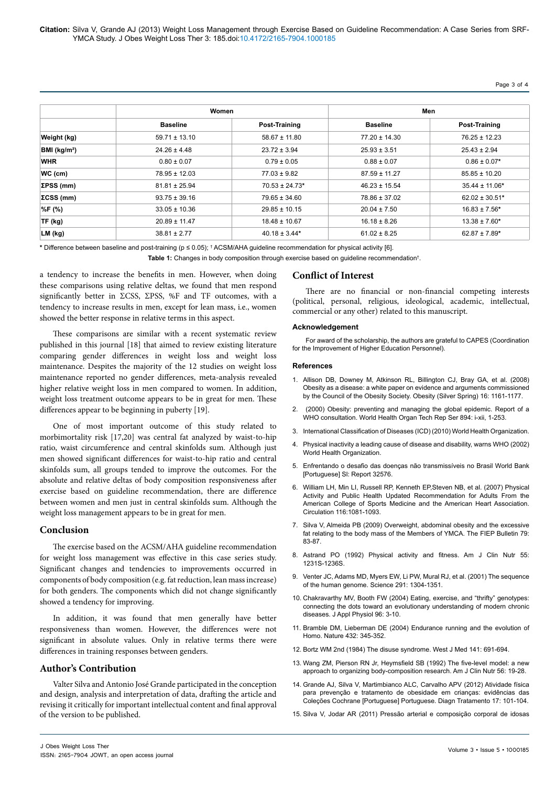**Citation:** Silva V, Grande AJ (2013) Weight Loss Management through Exercise Based on Guideline Recommendation: A Case Series from SRF-YMCA Study. J Obes Weight Loss Ther 3: 185.doi:10.4172/2165-7904.1000185

Page 3 of 4

|                          | Women             |                    | Men               |                     |
|--------------------------|-------------------|--------------------|-------------------|---------------------|
|                          | <b>Baseline</b>   | Post-Training      | <b>Baseline</b>   | Post-Training       |
| Weight (kg)              | $59.71 \pm 13.10$ | $58.67 \pm 11.80$  | $77.20 \pm 14.30$ | $76.25 \pm 12.23$   |
| BMl (kg/m <sup>2</sup> ) | $24.26 \pm 4.48$  | $23.72 \pm 3.94$   | $25.93 \pm 3.51$  | $25.43 \pm 2.94$    |
| <b>WHR</b>               | $0.80 \pm 0.07$   | $0.79 \pm 0.05$    | $0.88 \pm 0.07$   | $0.86 \pm 0.07*$    |
| $WC$ (cm)                | 78.95 ± 12.03     | $77.03 \pm 9.82$   | $87.59 \pm 11.27$ | $85.85 \pm 10.20$   |
| $\Sigma$ PSS (mm)        | $81.81 \pm 25.94$ | $70.53 \pm 24.73*$ | $46.23 \pm 15.54$ | $35.44 \pm 11.06*$  |
| $\Sigma$ CSS (mm)        | $93.75 \pm 39.16$ | $79.65 \pm 34.60$  | 78.86 ± 37.02     | $62.02 \pm 30.51$ * |
| $%F$ (%)                 | $33.05 \pm 10.36$ | $29.85 \pm 10.15$  | $20.04 \pm 7.50$  | $16.83 \pm 7.56*$   |
| TF (kg)                  | $20.89 \pm 11.47$ | $18.48 \pm 10.67$  | $16.18 \pm 8.26$  | $13.38 \pm 7.60*$   |
| LM (kg)                  | $38.81 \pm 2.77$  | $40.18 \pm 3.44*$  | $61.02 \pm 8.25$  | $62.87 \pm 7.89*$   |

**\*** Difference between baseline and post-training (p ≤ 0.05); † ACSM/AHA guideline recommendation for physical activity [6].

**Table 1:** Changes in body composition through exercise based on guideline recommendation† .

a tendency to increase the benefits in men. However, when doing these comparisons using relative deltas, we found that men respond significantly better in ΣCSS, ΣPSS, %F and TF outcomes, with a tendency to increase results in men, except for lean mass, i.e., women showed the better response in relative terms in this aspect.

These comparisons are similar with a recent systematic review published in this journal [18] that aimed to review existing literature comparing gender differences in weight loss and weight loss maintenance. Despites the majority of the 12 studies on weight loss maintenance reported no gender differences, meta-analysis revealed higher relative weight loss in men compared to women. In addition, weight loss treatment outcome appears to be in great for men. These differences appear to be beginning in puberty [19].

One of most important outcome of this study related to morbimortality risk [17,20] was central fat analyzed by waist-to-hip ratio, waist circumference and central skinfolds sum. Although just men showed significant differences for waist-to-hip ratio and central skinfolds sum, all groups tended to improve the outcomes. For the absolute and relative deltas of body composition responsiveness after exercise based on guideline recommendation, there are difference between women and men just in central skinfolds sum. Although the weight loss management appears to be in great for men.

#### **Conclusion**

The exercise based on the ACSM/AHA guideline recommendation for weight loss management was effective in this case series study. Significant changes and tendencies to improvements occurred in components of body composition (e.g. fat reduction, lean mass increase) for both genders. The components which did not change significantly showed a tendency for improving.

In addition, it was found that men generally have better responsiveness than women. However, the differences were not significant in absolute values. Only in relative terms there were differences in training responses between genders.

#### **Author's Contribution**

Valter Silva and Antonio José Grande participated in the conception and design, analysis and interpretation of data, drafting the article and revising it critically for important intellectual content and final approval of the version to be published.

#### **Conflict of Interest**

There are no financial or non-financial competing interests (political, personal, religious, ideological, academic, intellectual, commercial or any other) related to this manuscript.

#### **Acknowledgement**

For award of the scholarship, the authors are grateful to CAPES (Coordination for the Improvement of Higher Education Personnel).

#### **References**

- 1. [Allison DB, Downey M, Atkinson RL, Billington CJ, Bray GA, et al. \(2008\)](http://www.ncbi.nlm.nih.gov/pubmed/18464753)  [Obesity as a disease: a white paper on evidence and arguments commissioned](http://www.ncbi.nlm.nih.gov/pubmed/18464753)  [by the Council of the Obesity Society. Obesity \(Silver Spring\) 16: 1161-1177.](http://www.ncbi.nlm.nih.gov/pubmed/18464753)
- 2. [\(2000\) Obesity: preventing and managing the global epidemic. Report of a](http://www.ncbi.nlm.nih.gov/pubmed/11234459)  [WHO consultation. World Health Organ Tech Rep Ser 894: i-xii, 1-253.](http://www.ncbi.nlm.nih.gov/pubmed/11234459)
- 3. [International Classification of Diseases \(ICD\) \(2010\) World Health Organization.](http://www.who.int/classifications/icd/en/)
- 4. [Physical inactivity a leading cause of disease and disability, warns WHO \(2002\)](http://www.who.int/mediacentre/news/releases/release23/en/)  [World Health Organization.](http://www.who.int/mediacentre/news/releases/release23/en/)
- 5. Enfrentando o desafio das doenças não transmissíveis no Brasil World Bank [Portuguese] Sl: Report 32576.
- 6. [William LH, Min LI, Russell RP, Kenneth EP,Steven NB, et al. \(2007\) Physical](http://circ.ahajournals.org/content/116/9/1081.full.pdf)  [Activity and Public Health Updated Recommendation for Adults From the](http://circ.ahajournals.org/content/116/9/1081.full.pdf)  [American College of Sports Medicine and the American Heart Association.](http://circ.ahajournals.org/content/116/9/1081.full.pdf)  [Circulation 116:1081-1093.](http://circ.ahajournals.org/content/116/9/1081.full.pdf)
- 7. Silva V, Almeida PB (2009) Overweight, abdominal obesity and the excessive fat relating to the body mass of the Members of YMCA. The FIEP Bulletin 79: 83-87.
- 8. [Astrand PO \(1992\) Physical activity and fitness. Am J Clin Nutr 55:](http://www.ncbi.nlm.nih.gov/pubmed/1590262)  [1231S-1236S.](http://www.ncbi.nlm.nih.gov/pubmed/1590262)
- 9. [Venter JC, Adams MD, Myers EW, Li PW, Mural RJ, et al. \(2001\) The sequence](http://www.ncbi.nlm.nih.gov/pubmed/11181995)  [of the human genome. Science 291: 1304-1351.](http://www.ncbi.nlm.nih.gov/pubmed/11181995)
- 10. [Chakravarthy MV, Booth FW \(2004\) Eating, exercise, and "thrifty" genotypes:](http://www.ncbi.nlm.nih.gov/pubmed/14660491)  [connecting the dots toward an evolutionary understanding of modern chronic](http://www.ncbi.nlm.nih.gov/pubmed/14660491)  [diseases. J Appl Physiol 96: 3-10.](http://www.ncbi.nlm.nih.gov/pubmed/14660491)
- 11. [Bramble DM, Lieberman DE \(2004\) Endurance running and the evolution of](http://www.ncbi.nlm.nih.gov/pubmed/15549097)  [Homo. Nature 432: 345-352.](http://www.ncbi.nlm.nih.gov/pubmed/15549097)
- 12. [Bortz WM 2nd \(1984\) The disuse syndrome. West J Med 141: 691-694.](http://www.ncbi.nlm.nih.gov/pubmed/6516349)
- 13. [Wang ZM, Pierson RN Jr, Heymsfield SB \(1992\) The five-level model: a new](http://www.ncbi.nlm.nih.gov/pubmed/1609756)  [approach to organizing body-composition research. Am J Clin Nutr 56: 19-28.](http://www.ncbi.nlm.nih.gov/pubmed/1609756)
- 14. Grande AJ, Silva V, Martimbianco ALC, Carvalho APV (2012) Atividade física para prevenção e tratamento de obesidade em crianças: evidências das Coleções Cochrane [Portuguese] Portuguese. Diagn Tratamento 17: 101-104.
- 15. Silva V, Jodar AR (2011) Pressão arterial e composição corporal de idosas